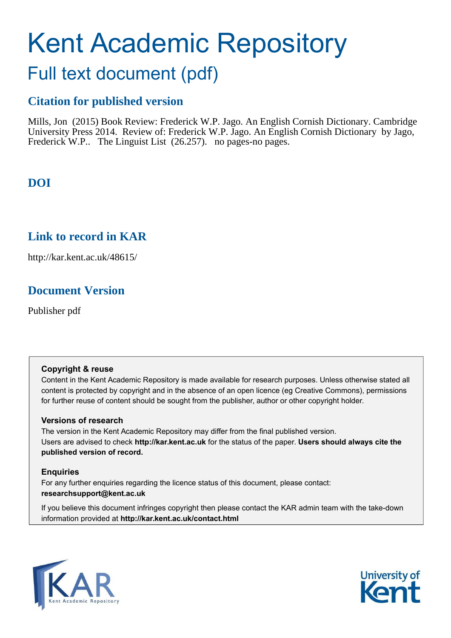# Kent Academic Repository

## Full text document (pdf)

## **Citation for published version**

Mills, Jon (2015) Book Review: Frederick W.P. Jago. An English Cornish Dictionary. Cambridge University Press 2014. Review of: Frederick W.P. Jago. An English Cornish Dictionary by Jago, Frederick W.P.. The Linguist List (26.257). no pages-no pages.

## **DOI**

## **Link to record in KAR**

http://kar.kent.ac.uk/48615/

## **Document Version**

Publisher pdf

#### **Copyright & reuse**

Content in the Kent Academic Repository is made available for research purposes. Unless otherwise stated all content is protected by copyright and in the absence of an open licence (eg Creative Commons), permissions for further reuse of content should be sought from the publisher, author or other copyright holder.

#### **Versions of research**

The version in the Kent Academic Repository may differ from the final published version. Users are advised to check **http://kar.kent.ac.uk** for the status of the paper. **Users should always cite the published version of record.**

#### **Enquiries**

For any further enquiries regarding the licence status of this document, please contact: **researchsupport@kent.ac.uk**

If you believe this document infringes copyright then please contact the KAR admin team with the take-down information provided at **http://kar.kent.ac.uk/contact.html**



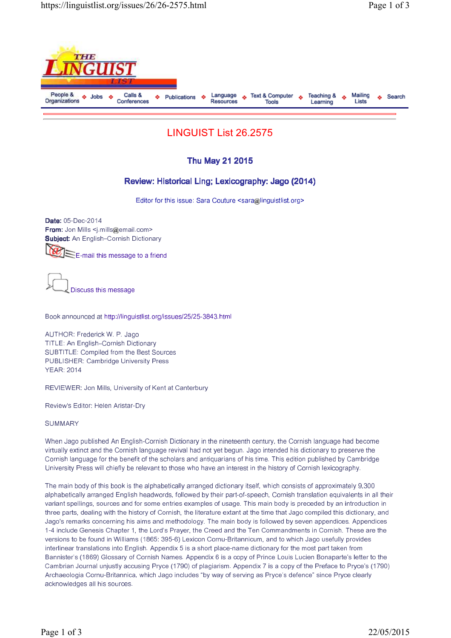

### LINGUIST List 26.2575

#### Thu May 21 2015

#### Review: Historical Ling; Lexicography: Jago (2014)

Editor for this issue: Sara Couture  $\leq$ sara $\omega$ linguistlist.org>

Date: 05-Dec-2014 From: Jon Mills <j.mills@email.com> Subject: An English–Cornish Dictionary

E-mail this message to a friend

Discuss this message

Book announced at http://linguistlist.org/issues/25/25-3843.html

AUTHOR: Frederick W. P. Jago TITLE: An English–Cornish Dictionary SUBTITLE: Compiled from the Best Sources PUBLISHER: Cambridge University Press YEAR: 2014

REVIEWER: Jon Mills, University of Kent at Canterbury

Review's Editor: Helen Aristar-Dry

**SUMMARY** 

When Jago published An English-Cornish Dictionary in the nineteenth century, the Cornish language had become virtually extinct and the Cornish language revival had not yet begun. Jago intended his dictionary to preserve the Cornish language for the benefit of the scholars and antiquarians of his time. This edition published by Cambridge University Press will chiefly be relevant to those who have an interest in the history of Cornish lexicography.

The main body of this book is the alphabetically arranged dictionary itself, which consists of approximately 9,300 alphabetically arranged English headwords, followed by their part-of-speech, Cornish translation equivalents in all their variant spellings, sources and for some entries examples of usage. This main body is preceded by an introduction in three parts, dealing with the history of Cornish, the literature extant at the time that Jago compiled this dictionary, and Jago's remarks concerning his aims and methodology. The main body is followed by seven appendices. Appendices 1-4 include Genesis Chapter 1, the Lord's Prayer, the Creed and the Ten Commandments in Cornish. These are the versions to be found in Williams (1865: 395-6) Lexicon Cornu-Britannicum, and to which Jago usefully provides interlinear translations into English. Appendix 5 is a short place-name dictionary for the most part taken from Bannister's (1869) Glossary of Cornish Names. Appendix 6 is a copy of Prince Louis Lucien Bonaparte's letter to the Cambrian Journal unjustly accusing Pryce (1790) of plagiarism. Appendix 7 is a copy of the Preface to Pryce's (1790) Archaeologia Cornu-Britannica, which Jago includes "by way of serving as Pryce's defence" since Pryce clearly acknowledges all his sources.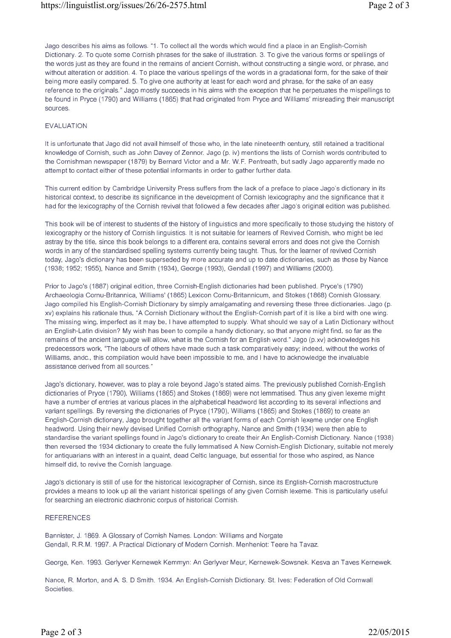Jago describes his aims as follows. "1. To collect all the words which would find a place in an English-Cornish Dictionary. 2. To quote some Cornish phrases for the sake of illustration. 3. To give the various forms or spellings of the words just as they are found in the remains of ancient Cornish, without constructing a single word, or phrase, and without alteration or addition. 4. To place the various spellings of the words in a gradational form, for the sake of their being more easily compared. 5. To give one authority at least for each word and phrase, for the sake of an easy reference to the originals." Jago mostly succeeds in his aims with the exception that he perpetuates the mispellings to be found in Pryce (1790) and Williams (1865) that had originated from Pryce and Williams' misreading their manuscript sources.

#### EVALUATION

It is unfortunate that Jago did not avail himself of those who, in the late nineteenth century, still retained a traditional knowledge of Cornish, such as John Davey of Zennor. Jago (p. iv) mentions the lists of Cornish words contributed to the Cornishman newspaper (1879) by Bernard Victor and a Mr. W.F. Pentreath, but sadly Jago apparently made no attempt to contact either of these potential informants in order to gather further data.

This current edition by Cambridge University Press suffers from the lack of a preface to place Jago's dictionary in its historical context, to describe its significance in the development of Cornish lexicography and the significance that it had for the lexicography of the Cornish revival that followed a few decades after Jago's original edition was published.

This book will be of interest to students of the history of linguistics and more specifically to those studying the history of lexicography or the history of Cornish linguistics. It is not suitable for learners of Revived Cornish, who might be led astray by the title, since this book belongs to a different era, contains several errors and does not give the Cornish words in any of the standardised spelling systems currently being taught. Thus, for the learner of revived Cornish today, Jago's dictionary has been superseded by more accurate and up to date dictionaries, such as those by Nance (1938; 1952; 1955), Nance and Smith (1934), George (1993), Gendall (1997) and Williams (2000).

Prior to Jago's (1887) original edition, three Cornish-English dictionaries had been published. Pryce's (1790) Archaeologia Cornu-Britannica, Williams' (1865) Lexicon Cornu-Britannicum, and Stokes (1868) Cornish Glossary. Jago compiled his English-Cornish Dictionary by simply amalgamating and reversing these three dictionaries. Jago (p. xv) explains his rationale thus, "A Cornish Dictionary without the English-Cornish part of it is like a bird with one wing. The missing wing, imperfect as it may be, I have attempted to supply. What should we say of a Latin Dictionary without an English-Latin division? My wish has been to compile a handy dictionary, so that anyone might find, so far as the remains of the ancient language will allow, what is the Cornish for an English word." Jago (p.xv) acknowledges his predecessors work, "The labours of others have made such a task comparatively easy; indeed, without the works of Williams, andc., this compilation would have been impossible to me, and I have to acknowledge the invaluable assistance derived from all sources."

Jago's dictionary, however, was to play a role beyond Jago's stated aims. The previously published Cornish-English dictionaries of Pryce (1790), Williams (1865) and Stokes (1869) were not lemmatised. Thus any given lexeme might have a number of entries at various places in the alphabetical headword list according to its several inflections and variant spellings. By reversing the dictionaries of Pryce (1790), Williams (1865) and Stokes (1869) to create an English-Cornish dictionary, Jago brought together all the variant forms of each Cornish lexeme under one English headword. Using their newly devised Unified Cornish orthography, Nance and Smith (1934) were then able to standardise the variant spellings found in Jago's dictionary to create their An English-Cornish Dictionary. Nance (1938) then reversed the 1934 dictionary to create the fully lemmatised A New Cornish-English Dictionary, suitable not merely for antiquarians with an interest in a quaint, dead Celtic language, but essential for those who aspired, as Nance himself did, to revive the Cornish language.

Jago's dictionary is still of use for the historical lexicographer of Cornish, since its English-Cornish macrostructure provides a means to look up all the variant historical spellings of any given Cornish lexeme. This is particularly useful for searching an electronic diachronic corpus of historical Cornish.

#### **REFERENCES**

Bannister, J. 1869. A Glossary of Cornish Names. London: Williams and Norgate Gendall, R.R.M. 1997. A Practical Dictionary of Modern Cornish. Menheniot: Teere ha Tavaz.

George, Ken. 1993. Gerlyver Kernewek Kemmyn: An Gerlyver Meur, Kernewek-Sowsnek. Kesva an Taves Kernewek.

Nance, R. Morton, and A. S. D Smith. 1934. An English-Cornish Dictionary. St. Ives: Federation of Old Cornwall Societies.